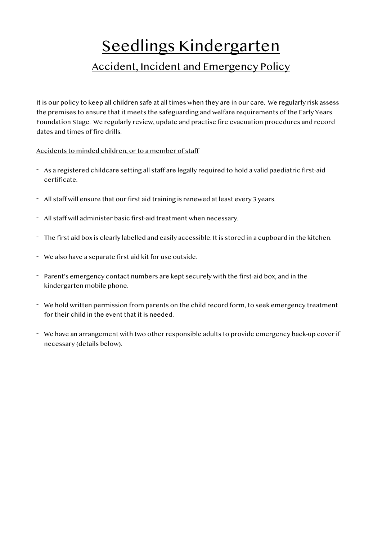# Seedlings Kindergarten Accident, Incident and Emergency Policy

It is our policy to keep all children safe at all times when they are in our care. We regularly risk assess the premises to ensure that it meets the safeguarding and welfare requirements of the Early Years Foundation Stage. We regularly review, update and practise fire evacuation procedures and record dates and times of fire drills.

### Accidents to minded children, or to a member of staff

- As a registered childcare setting all staff are legally required to hold a valid paediatric first-aid certificate.
- All staff will ensure that our first aid training is renewed at least every 3 years.
- All staff will administer basic first-aid treatment when necessary.
- The first aid box is clearly labelled and easily accessible. It is stored in a cupboard in the kitchen.
- We also have a separate first aid kit for use outside.
- Parent's emergency contact numbers are kept securely with the first-aid box, and in the kindergarten mobile phone.
- We hold written permission from parents on the child record form, to seek emergency treatment for their child in the event that it is needed.
- We have an arrangement with two other responsible adults to provide emergency back-up cover if necessary (details below).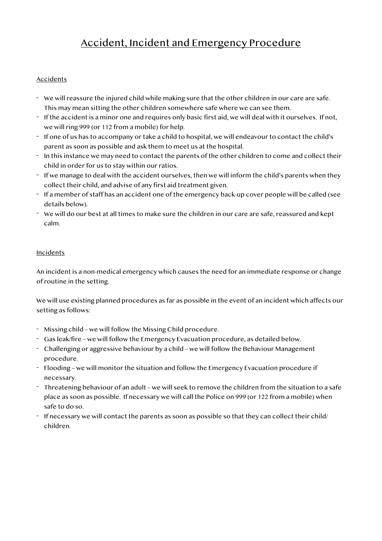# Accident, Incident and Emergency Procedure

# Accidents

- We will reassure the injured child while making sure that the other children in our care are safe. This may mean sitting the other children somewhere safe where we can see them.
- If the accident is a minor one and requires only basic first aid, we will deal with it ourselves. If not, we will ring 999 (or 112 from a mobile) for help.
- If one of us has to accompany or take a child to hospital, we will endeavour to contact the child's parent as soon as possible and ask them to meet us at the hospital.
- In this instance we may need to contact the parents of the other children to come and collect their child in order for us to stay within our ratios.
- If we manage to deal with the accident ourselves, then we will inform the child's parents when they collect their child, and advise of any first aid treatment given.
- If a member of staff has an accident one of the emergency back-up cover people will be called (see details below).
- We will do our best at all times to make sure the children in our care are safe, reassured and kept calm.

# Incidents

An incident is a non-medical emergency which causes the need for an immediate response or change of routine in the setting.

We will use existing planned procedures as far as possible in the event of an incident which affects our setting as follows:

- Missing child we will follow the Missing Child procedure.
- Gas leak/fire we will follow the Emergency Evacuation procedure, as detailed below.
- Challenging or aggressive behaviour by a child we will follow the Behaviour Management procedure.
- Flooding we will monitor the situation and follow the Emergency Evacuation procedure if necessary.
- Threatening behaviour of an adult we will seek to remove the children from the situation to a safe place as soon as possible. If necessary we will call the Police on 999 (or 122 from a mobile) when safe to do so.
- If necessary we will contact the parents as soon as possible so that they can collect their child/ children.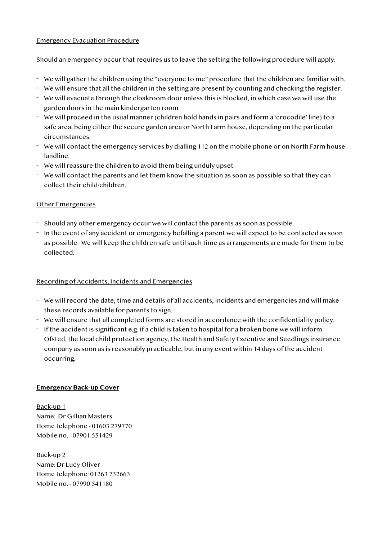#### Emergency Evacuation Procedure

Should an emergency occur that requires us to leave the setting the following procedure will apply:

- We will gather the children using the "everyone to me" procedure that the children are familiar with.
- We will ensure that all the children in the setting are present by counting and checking the register.
- We will evacuate through the cloakroom door unless this is blocked, in which case we will use the garden doors in the main kindergarten room.
- We will proceed in the usual manner (children hold hands in pairs and form a 'crocodile' line) to a safe area, being either the secure garden area or North Farm house, depending on the particular circumstances.
- We will contact the emergency services by dialling 112 on the mobile phone or on North Farm house landline.
- We will reassure the children to avoid them being unduly upset.
- We will contact the parents and let them know the situation as soon as possible so that they can collect their child/children.

# Other Emergencies

- Should any other emergency occur we will contact the parents as soon as possible.
- In the event of any accident or emergency befalling a parent we will expect to be contacted as soon as possible. We will keep the children safe until such time as arrangements are made for them to be collected.

### Recording of Accidents, Incidents and Emergencies

- We will record the date, time and details of all accidents, incidents and emergencies and will make these records available for parents to sign.
- We will ensure that all completed forms are stored in accordance with the confidentiality policy.
- If the accident is significant e.g. if a child is taken to hospital for a broken bone we will inform Ofsted, the local child protection agency, the Health and Safety Executive and Seedlings insurance company as soon as is reasonably practicable, but in any event within 14 days of the accident occurring.

### **Emergency Back-up Cover**

Back-up 1 Name: Dr Gillian Masters Home telephone - 01603 279770 Mobile no. - 07901 551429

Back-up 2 Name: Dr Lucy Oliver Home telephone: 01263 732663 Mobile no. - 07990 541180